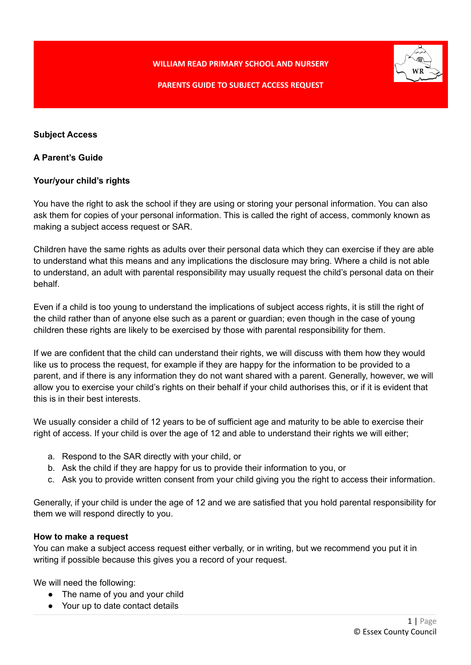**WILLIAM READ PRIMARY SCHOOL AND NURSERY**



# **PARENTS GUIDE TO SUBJECT ACCESS REQUEST**

## **Subject Access**

## **A Parent's Guide**

# **Your/your child's rights**

You have the right to ask the school if they are using or storing your personal information. You can also ask them for copies of your personal information. This is called the right of access, commonly known as making a subject access request or SAR.

Children have the same rights as adults over their personal data which they can exercise if they are able to understand what this means and any implications the disclosure may bring. Where a child is not able to understand, an adult with parental responsibility may usually request the child's personal data on their behalf.

Even if a child is too young to understand the implications of subject access rights, it is still the right of the child rather than of anyone else such as a parent or guardian; even though in the case of young children these rights are likely to be exercised by those with parental responsibility for them.

If we are confident that the child can understand their rights, we will discuss with them how they would like us to process the request, for example if they are happy for the information to be provided to a parent, and if there is any information they do not want shared with a parent. Generally, however, we will allow you to exercise your child's rights on their behalf if your child authorises this, or if it is evident that this is in their best interests.

We usually consider a child of 12 years to be of sufficient age and maturity to be able to exercise their right of access. If your child is over the age of 12 and able to understand their rights we will either;

- a. Respond to the SAR directly with your child, or
- b. Ask the child if they are happy for us to provide their information to you, or
- c. Ask you to provide written consent from your child giving you the right to access their information.

Generally, if your child is under the age of 12 and we are satisfied that you hold parental responsibility for them we will respond directly to you.

### **How to make a request**

You can make a subject access request either verbally, or in writing, but we recommend you put it in writing if possible because this gives you a record of your request.

We will need the following:

- The name of you and your child
- Your up to date contact details